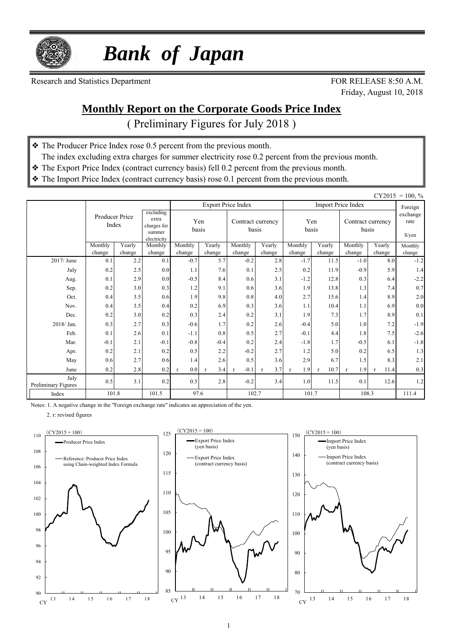

 *Bank of Japan*

Research and Statistics Department FOR RELEASE 8:50 A.M.

Friday, August 10, 2018

### **Monthly Report on the Corporate Goods Price Index**

( Preliminary Figures for July 2018 )

- ❖ The Producer Price Index rose 0.5 percent from the previous month.
- The index excluding extra charges for summer electricity rose 0.2 percent from the previous month.
- ❖ The Export Price Index (contract currency basis) fell 0.2 percent from the previous month.
- ❖ The Import Price Index (contract currency basis) rose 0.1 percent from the previous month.

|                             |                   |                                                                                       |                   |                     |                     |                            |                     |                     |                  |                            |                      | $CY2015 = 100, \%$                         |
|-----------------------------|-------------------|---------------------------------------------------------------------------------------|-------------------|---------------------|---------------------|----------------------------|---------------------|---------------------|------------------|----------------------------|----------------------|--------------------------------------------|
|                             |                   |                                                                                       |                   |                     |                     | <b>Export Price Index</b>  |                     |                     |                  | <b>Import Price Index</b>  |                      | Foreign                                    |
|                             |                   | excluding<br>Producer Price<br>extra<br>Index<br>charges for<br>summer<br>electricity |                   | Yen<br>basis        |                     | Contract currency<br>basis |                     | Yen<br>basis        |                  | Contract currency<br>basis |                      | exchange<br>rate<br>$\sqrt{\frac{2}{\pi}}$ |
|                             | Monthly<br>change | Yearly<br>change                                                                      | Monthly<br>change | Monthly<br>change   | Yearly<br>change    | Monthly<br>change          | Yearly<br>change    | Monthly<br>change   | Yearly<br>change | Monthly<br>change          | Yearly<br>change     | Monthly<br>change                          |
| 2017/ June                  | 0.1               | 2.2                                                                                   | 0.1               | $-0.7$              | 5.7                 | $-0.2$                     | 2.8                 | $-1.7$              | 11.5             | $-1.0$                     | 8.0                  | $-1.2$                                     |
| July                        | 0.2               | 2.5                                                                                   | 0.0               | 1.1                 | 7.6                 | 0.1                        | 2.5                 | 0.2                 | 11.9             | $-0.9$                     | 5.9                  | 1.4                                        |
| Aug.                        | 0.1               | 2.9                                                                                   | 0.0               | $-0.5$              | 8.4                 | 0.6                        | 3.1                 | $-1.2$              | 12.8             | 0.3                        | 6.4                  | $-2.2$                                     |
| Sep.                        | 0.2               | 3.0                                                                                   | 0.3               | 1.2                 | 9.1                 | 0.6                        | 3.6                 | 1.9                 | 13.8             | 1.3                        | 7.4                  | 0.7                                        |
| Oct.                        | 0.4               | 3.5                                                                                   | 0.6               | 1.9                 | 9.8                 | 0.8                        | 4.0                 | 2.7                 | 15.6             | 1.4                        | 8.9                  | 2.0                                        |
| Nov.                        | 0.4               | 3.5                                                                                   | 0.4               | 0.2                 | 6.9                 | 0.3                        | 3.6                 | 1.1                 | 10.4             | 1.1                        | 6.9                  | 0.0                                        |
| Dec.                        | 0.2               | 3.0                                                                                   | 0.2               | 0.3                 | 2.4                 | 0.2                        | 3.1                 | 1.9                 | 7.3              | 1.7                        | 8.9                  | 0.1                                        |
| 2018/ Jan.                  | 0.3               | 2.7                                                                                   | 0.3               | $-0.6$              | 1.7                 | 0.2                        | 2.6                 | $-0.4$              | 5.0              | 1.0                        | 7.2                  | $-1.9$                                     |
| Feb.                        | 0.1               | 2.6                                                                                   | 0.1               | $-1.1$              | 0.8                 | 0.5                        | 2.7                 | $-0.1$              | 4.4              | 1.8                        | 7.5                  | $-2.6$                                     |
| Mar.                        | $-0.1$            | 2.1                                                                                   | $-0.1$            | $-0.8$              | $-0.4$              | 0.2                        | 2.4                 | $-1.8$              | 1.7              | $-0.5$                     | 6.1                  | $-1.8$                                     |
| Apr.                        | 0.2               | 2.1                                                                                   | 0.2               | 0.5                 | 2.2                 | $-0.2$                     | 2.7                 | 1.2                 | 5.0              | 0.2                        | 6.5                  | 1.3                                        |
| May                         | 0.6               | 2.7                                                                                   | 0.6               | 1.4                 | 2.6                 | 0.5                        | 3.6                 | 2.9                 | 6.7              | 1.5                        | 8.3                  | 2.1                                        |
| June                        | 0.2               | 2.8                                                                                   | 0.2               | 0.0<br>$\mathbf{r}$ | 3.4<br>$\mathbf{r}$ | $-0.1$                     | 3.7<br>$\mathbf{r}$ | 1.9<br>$\mathbf{r}$ | 10.7             | 1.9<br>$\mathbf{r}$        | 11.4<br>$\mathbf{r}$ | 0.3                                        |
| July<br>Preliminary Figures | 0.5               | 3.1                                                                                   | 0.2               | 0.5                 | 2.8                 | $-0.2$                     | 3.4                 | 1.0                 | 11.5             | 0.1                        | 12.6                 | 1.2                                        |
| Index                       | 101.8             |                                                                                       | 101.5             | 97.6                |                     | 102.7                      |                     | 101.7               |                  | 108.3                      |                      | 111.4                                      |

Notes: 1. A negative change in the "Foreign exchange rate" indicates an appreciation of the yen.

2. r: revised figures





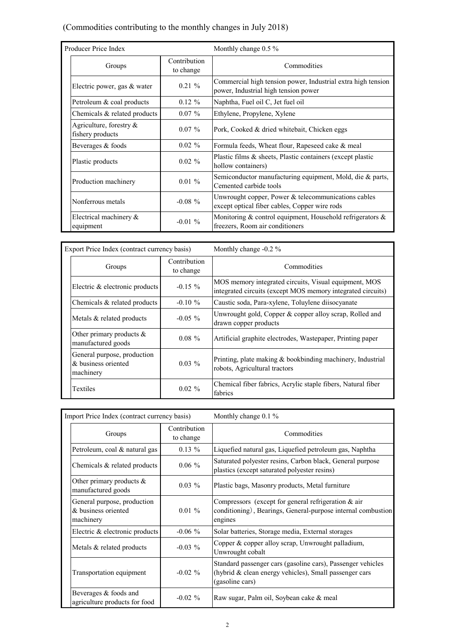### (Commodities contributing to the monthly changes in July 2018)

| Producer Price Index                           |                           | Monthly change $0.5\%$                                                                               |  |  |  |  |  |
|------------------------------------------------|---------------------------|------------------------------------------------------------------------------------------------------|--|--|--|--|--|
| Groups                                         | Contribution<br>to change | Commodities                                                                                          |  |  |  |  |  |
| Electric power, gas & water                    | $0.21 \%$                 | Commercial high tension power, Industrial extra high tension<br>power, Industrial high tension power |  |  |  |  |  |
| Petroleum & coal products                      | $0.12 \%$                 | Naphtha, Fuel oil C, Jet fuel oil                                                                    |  |  |  |  |  |
| Chemicals & related products                   | $0.07\%$                  | Ethylene, Propylene, Xylene                                                                          |  |  |  |  |  |
| Agriculture, forestry $\&$<br>fishery products | $0.07\%$                  | Pork, Cooked & dried whitebait, Chicken eggs                                                         |  |  |  |  |  |
| Beverages & foods                              | $0.02 \%$                 | Formula feeds, Wheat flour, Rapeseed cake & meal                                                     |  |  |  |  |  |
| Plastic products                               | $0.02 \%$                 | Plastic films & sheets, Plastic containers (except plastic<br>hollow containers)                     |  |  |  |  |  |
| Production machinery                           | $0.01\%$                  | Semiconductor manufacturing equipment, Mold, die & parts,<br>Cemented carbide tools                  |  |  |  |  |  |
| Nonferrous metals                              | $-0.08 \%$                | Unwrought copper, Power & telecommunications cables<br>except optical fiber cables, Copper wire rods |  |  |  |  |  |
| Electrical machinery $\&$<br>equipment         | $-0.01\%$                 | Monitoring $&$ control equipment, Household refrigerators $&$<br>freezers, Room air conditioners     |  |  |  |  |  |

| Export Price Index (contract currency basis)                    |                           | Monthly change $-0.2\%$                                                                                              |  |  |  |  |  |
|-----------------------------------------------------------------|---------------------------|----------------------------------------------------------------------------------------------------------------------|--|--|--|--|--|
| Groups                                                          | Contribution<br>to change | Commodities                                                                                                          |  |  |  |  |  |
| Electric & electronic products                                  | $-0.15 \%$                | MOS memory integrated circuits, Visual equipment, MOS<br>integrated circuits (except MOS memory integrated circuits) |  |  |  |  |  |
| Chemicals & related products                                    | $-0.10 \%$                | Caustic soda, Para-xylene, Toluylene diisocyanate                                                                    |  |  |  |  |  |
| Metals & related products                                       | $-0.05\%$                 | Unwrought gold, Copper & copper alloy scrap, Rolled and<br>drawn copper products                                     |  |  |  |  |  |
| Other primary products $\&$<br>manufactured goods               | $0.08 \%$                 | Artificial graphite electrodes, Wastepaper, Printing paper                                                           |  |  |  |  |  |
| General purpose, production<br>& business oriented<br>machinery | $0.03\%$                  | Printing, plate making & bookbinding machinery, Industrial<br>robots, Agricultural tractors                          |  |  |  |  |  |
| Textiles                                                        | $0.02 \%$                 | Chemical fiber fabrics, Acrylic staple fibers, Natural fiber<br>fabrics                                              |  |  |  |  |  |

| Import Price Index (contract currency basis)                    |                           | Monthly change $0.1\%$                                                                                                                   |
|-----------------------------------------------------------------|---------------------------|------------------------------------------------------------------------------------------------------------------------------------------|
| Groups                                                          | Contribution<br>to change | Commodities                                                                                                                              |
| Petroleum, coal & natural gas                                   | $0.13 \%$                 | Liquefied natural gas, Liquefied petroleum gas, Naphtha                                                                                  |
| Chemicals $\&$ related products                                 | $0.06\%$                  | Saturated polyester resins, Carbon black, General purpose<br>plastics (except saturated polyester resins)                                |
| Other primary products $\&$<br>manufactured goods               | $0.03\%$                  | Plastic bags, Masonry products, Metal furniture                                                                                          |
| General purpose, production<br>& business oriented<br>machinery | $0.01 \%$                 | Compressors (except for general refrigeration & air<br>conditioning), Bearings, General-purpose internal combustion<br>engines           |
| Electric & electronic products                                  | $-0.06\%$                 | Solar batteries, Storage media, External storages                                                                                        |
| Metals & related products                                       | $-0.03\%$                 | Copper & copper alloy scrap, Unwrought palladium,<br>Unwrought cobalt                                                                    |
| Transportation equipment                                        | $-0.02 \%$                | Standard passenger cars (gasoline cars), Passenger vehicles<br>(hybrid & clean energy vehicles), Small passenger cars<br>(gasoline cars) |
| Beverages & foods and<br>agriculture products for food          | $-0.02\%$                 | Raw sugar, Palm oil, Soybean cake & meal                                                                                                 |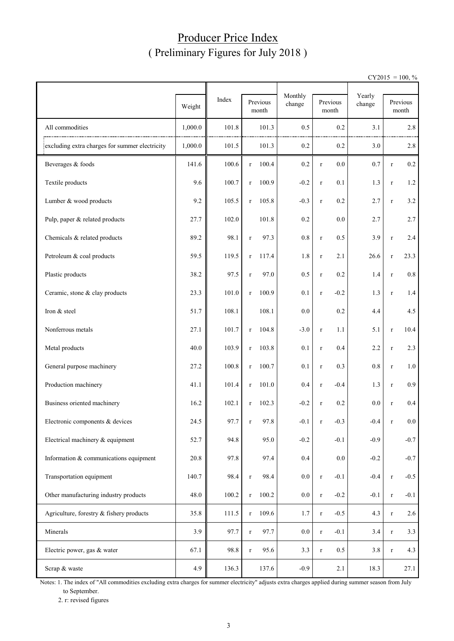## Producer Price Index ( Preliminary Figures for July 2018 )

 $CY2015 = 100, \%$ 

|                                                |         |       |                       |                   |                       | Yearly |             |                   |
|------------------------------------------------|---------|-------|-----------------------|-------------------|-----------------------|--------|-------------|-------------------|
|                                                | Weight  | Index | Previous<br>month     | Monthly<br>change | Previous<br>month     | change |             | Previous<br>month |
| All commodities                                | 1,000.0 | 101.8 | 101.3                 | 0.5               | 0.2                   | 3.1    |             | 2.8               |
| excluding extra charges for summer electricity | 1,000.0 | 101.5 | 101.3                 | 0.2               | 0.2                   | 3.0    |             | 2.8               |
| Beverages & foods                              | 141.6   | 100.6 | 100.4<br>$\Gamma$     | 0.2               | 0.0<br>$\mathbf r$    | 0.7    | $\mathbf r$ | $0.2\,$           |
| Textile products                               | 9.6     | 100.7 | 100.9<br>$\mathbf r$  | $-0.2$            | 0.1<br>$\mathbf r$    | 1.3    | $\mathbf r$ | $1.2\,$           |
| Lumber & wood products                         | 9.2     | 105.5 | 105.8<br>$\mathbf r$  | $-0.3$            | 0.2<br>$\mathbf r$    | 2.7    | $\mathbf r$ | 3.2               |
| Pulp, paper & related products                 | 27.7    | 102.0 | 101.8                 | 0.2               | 0.0                   | 2.7    |             | 2.7               |
| Chemicals & related products                   | 89.2    | 98.1  | 97.3<br>$\mathbf r$   | $0.8\,$           | 0.5<br>$\mathbf r$    | 3.9    | $\mathbf r$ | 2.4               |
| Petroleum & coal products                      | 59.5    | 119.5 | 117.4<br>$\mathbf r$  | 1.8               | 2.1<br>$\mathbf r$    | 26.6   | $\mathbf r$ | 23.3              |
| Plastic products                               | 38.2    | 97.5  | 97.0<br>$\mathbf r$   | 0.5               | 0.2<br>$\mathbf r$    | 1.4    | $\mathbf r$ | 0.8               |
| Ceramic, stone & clay products                 | 23.3    | 101.0 | 100.9<br>$\mathbf r$  | 0.1               | $-0.2$<br>$\mathbf r$ | 1.3    | $\mathbf r$ | 1.4               |
| Iron & steel                                   | 51.7    | 108.1 | 108.1                 | 0.0               | 0.2                   | 4.4    |             | 4.5               |
| Nonferrous metals                              | 27.1    | 101.7 | 104.8<br>$\mathbf r$  | $-3.0$            | 1.1<br>$\mathbf r$    | 5.1    | $\mathbf r$ | 10.4              |
| Metal products                                 | 40.0    | 103.9 | 103.8<br>$\mathbf r$  | 0.1               | 0.4<br>$\mathbf r$    | 2.2    | $\mathbf r$ | 2.3               |
| General purpose machinery                      | 27.2    | 100.8 | 100.7<br>$\mathbf{r}$ | 0.1               | 0.3<br>$\mathbf r$    | 0.8    | $\mathbf r$ | 1.0               |
| Production machinery                           | 41.1    | 101.4 | 101.0<br>$\mathbf{r}$ | 0.4               | $-0.4$<br>$\mathbf r$ | 1.3    | $\mathbf r$ | 0.9               |
| Business oriented machinery                    | 16.2    | 102.1 | 102.3<br>$\mathbf{r}$ | $-0.2$            | 0.2<br>$\mathbf r$    | 0.0    | $\mathbf r$ | $0.4\,$           |
| Electronic components & devices                | 24.5    | 97.7  | 97.8<br>r             | $-0.1$            | $-0.3$<br>r           | $-0.4$ | r           | $0.0\,$           |
| Electrical machinery & equipment               | 52.7    | 94.8  | 95.0                  | $-0.2$            | $-0.1$                | $-0.9$ |             | $-0.7$            |
| Information & communications equipment         | 20.8    | 97.8  | 97.4                  | 0.4               | 0.0                   | $-0.2$ |             | $-0.7$            |
| Transportation equipment                       | 140.7   | 98.4  | 98.4<br>$\mathbf r$   | 0.0               | $-0.1$<br>$\mathbf r$ | $-0.4$ | $\mathbf r$ | $-0.5$            |
| Other manufacturing industry products          | 48.0    | 100.2 | 100.2<br>$\mathbf r$  | $0.0\,$           | $-0.2$<br>$\mathbf r$ | $-0.1$ | $\mathbf r$ | $-0.1$            |
| Agriculture, forestry & fishery products       | 35.8    | 111.5 | 109.6<br>$\mathbf r$  | 1.7               | $-0.5$<br>$\mathbf r$ | 4.3    | $\mathbf r$ | 2.6               |
| Minerals                                       | 3.9     | 97.7  | 97.7<br>$\mathbf r$   | $0.0\,$           | $-0.1$<br>$\mathbf r$ | 3.4    | $\mathbf r$ | 3.3               |
| Electric power, gas & water                    | 67.1    | 98.8  | 95.6<br>$\mathbf r$   | 3.3               | 0.5<br>$\mathbf r$    | 3.8    | $\mathbf r$ | 4.3               |
| Scrap & waste                                  | 4.9     | 136.3 | 137.6                 | $-0.9$            | 2.1                   | 18.3   |             | 27.1              |

Notes: 1. The index of "All commodities excluding extra charges for summer electricity" adjusts extra charges applied during summer season from July to September.

2. r: revised figures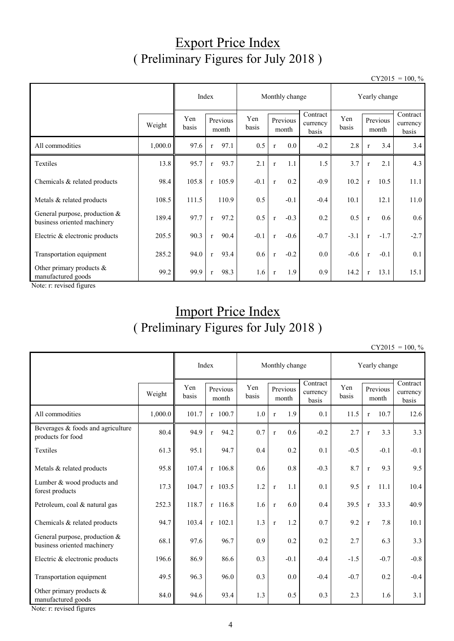## Export Price Index ( Preliminary Figures for July 2018 )

 $CY2015 = 100, \%$ 

|                                                                |         | Index        |              |                   | Monthly change<br>Yearly change |              |                   |                               |              |              |                   |                               |
|----------------------------------------------------------------|---------|--------------|--------------|-------------------|---------------------------------|--------------|-------------------|-------------------------------|--------------|--------------|-------------------|-------------------------------|
|                                                                | Weight  | Yen<br>basis |              | Previous<br>month | Yen<br>basis                    |              | Previous<br>month | Contract<br>currency<br>basis | Yen<br>basis |              | Previous<br>month | Contract<br>currency<br>basis |
| All commodities                                                | 1,000.0 | 97.6         | $\mathbf{r}$ | 97.1              | 0.5                             | $\mathbf{r}$ | 0.0               | $-0.2$                        | 2.8          | $\mathbf{r}$ | 3.4               | 3.4                           |
| Textiles                                                       | 13.8    | 95.7         | $\mathbf{r}$ | 93.7              | 2.1                             | $\mathbf{r}$ | 1.1               | 1.5                           | 3.7          | $\mathbf{r}$ | 2.1               | 4.3                           |
| Chemicals & related products                                   | 98.4    | 105.8        |              | $r$ 105.9         | $-0.1$                          | $\mathbf{r}$ | 0.2               | $-0.9$                        | 10.2         | $\mathbf{r}$ | 10.5              | 11.1                          |
| Metals & related products                                      | 108.5   | 111.5        |              | 110.9             | 0.5                             |              | $-0.1$            | $-0.4$                        | 10.1         |              | 12.1              | 11.0                          |
| General purpose, production $&$<br>business oriented machinery | 189.4   | 97.7         | $\mathbf{r}$ | 97.2              | 0.5                             | $\mathbf{r}$ | $-0.3$            | 0.2                           | 0.5          | $\mathbf{r}$ | 0.6               | 0.6                           |
| Electric & electronic products                                 | 205.5   | 90.3         | $\mathbf{r}$ | 90.4              | $-0.1$                          | $\mathbf{r}$ | $-0.6$            | $-0.7$                        | $-3.1$       | $\mathbf{r}$ | $-1.7$            | $-2.7$                        |
| Transportation equipment                                       | 285.2   | 94.0         | $\mathbf{r}$ | 93.4              | 0.6                             | $\mathbf{r}$ | $-0.2$            | $0.0\,$                       | $-0.6$       | $\mathbf{r}$ | $-0.1$            | 0.1                           |
| Other primary products $\&$<br>manufactured goods              | 99.2    | 99.9         | $\mathbf{r}$ | 98.3              | 1.6                             | $\mathbf{r}$ | 1.9               | 0.9                           | 14.2         | $\mathbf{r}$ | 13.1              | 15.1                          |

Note: r: revised figures

# Import Price Index ( Preliminary Figures for July 2018 )

 $CY2015 = 100, \%$ 

|                                                                |         | Index        |                      | Monthly change<br>Yearly change |                     |                               |              |                      |                               |
|----------------------------------------------------------------|---------|--------------|----------------------|---------------------------------|---------------------|-------------------------------|--------------|----------------------|-------------------------------|
|                                                                | Weight  | Yen<br>basis | Previous<br>month    | Yen<br>basis                    | Previous<br>month   | Contract<br>currency<br>basis | Yen<br>basis | Previous<br>month    | Contract<br>currency<br>basis |
| All commodities                                                | 1,000.0 | 101.7        | $r$ 100.7            | 1.0                             | 1.9<br>$\mathbf{r}$ | 0.1                           | 11.5         | 10.7<br>$\mathbf{r}$ | 12.6                          |
| Beverages & foods and agriculture<br>products for food         | 80.4    | 94.9         | 94.2<br>$\mathbf{r}$ | 0.7                             | 0.6<br>$\mathbf r$  | $-0.2$                        | 2.7          | 3.3<br>$\mathbf{r}$  | 3.3                           |
| <b>Textiles</b>                                                | 61.3    | 95.1         | 94.7                 | 0.4                             | 0.2                 | 0.1                           | $-0.5$       | $-0.1$               | $-0.1$                        |
| Metals & related products                                      | 95.8    | 107.4        | $r$ 106.8            | 0.6                             | 0.8                 | $-0.3$                        | 8.7          | 9.3<br>$\mathbf{r}$  | 9.5                           |
| Lumber & wood products and<br>forest products                  | 17.3    | 104.7        | $r$ 103.5            | $1.2\,$                         | 1.1<br>$\mathbf{r}$ | 0.1                           | 9.5          | 11.1<br>$\mathbf r$  | 10.4                          |
| Petroleum, coal & natural gas                                  | 252.3   | 118.7        | $r$ 116.8            | 1.6                             | 6.0<br>$\mathbf{r}$ | 0.4                           | 39.5         | 33.3<br>$\mathbf{r}$ | 40.9                          |
| Chemicals & related products                                   | 94.7    | 103.4        | $r$ 102.1            | 1.3                             | 1.2<br>$\mathbf{r}$ | 0.7                           | 9.2          | 7.8<br>$\mathbf{r}$  | 10.1                          |
| General purpose, production $&$<br>business oriented machinery | 68.1    | 97.6         | 96.7                 | 0.9                             | 0.2                 | 0.2                           | 2.7          | 6.3                  | 3.3                           |
| Electric & electronic products                                 | 196.6   | 86.9         | 86.6                 | 0.3                             | $-0.1$              | $-0.4$                        | $-1.5$       | $-0.7$               | $-0.8$                        |
| Transportation equipment                                       | 49.5    | 96.3         | 96.0                 | 0.3                             | 0.0                 | $-0.4$                        | $-0.7$       | 0.2                  | $-0.4$                        |
| Other primary products $\&$<br>manufactured goods              | 84.0    | 94.6         | 93.4                 | 1.3                             | 0.5                 | 0.3                           | 2.3          | 1.6                  | 3.1                           |

Note: r: revised figures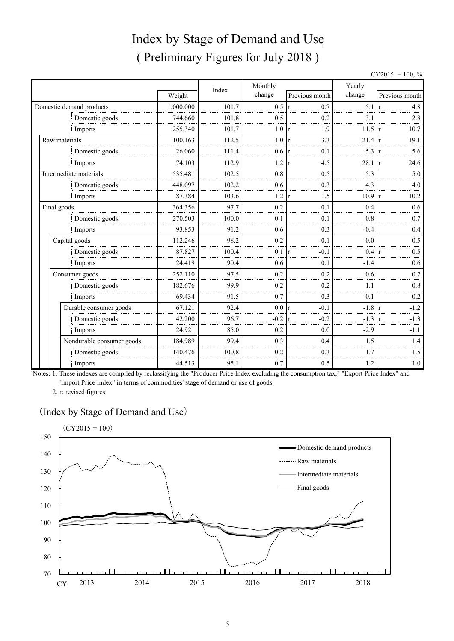# Index by Stage of Demand and Use ( Preliminary Figures for July 2018 )

 $CY2015 = 100, \%$ 

|               |                           |           |       | Monthly         |                        | Yearly |                |
|---------------|---------------------------|-----------|-------|-----------------|------------------------|--------|----------------|
|               |                           | Weight    | Index | change          | Previous month         | change | Previous month |
|               | Domestic demand products  | 1,000.000 | 101.7 | 0.5             | 0.7<br>r               | 5.1    | 4.8            |
|               | Domestic goods            | 744.660   | 101.8 | 0.5             | 0.2                    | 3.1    | 2.8            |
|               | Imports                   | 255.340   | 101.7 | 1.0             | 1.9<br>r               | 11.5   | 10.7           |
| Raw materials |                           | 100.163   | 112.5 | $1.0 \text{ r}$ | 3.3                    | 21.4   | 19.1           |
|               | Domestic goods            | 26.060    | 111.4 | 0.6             | 0.1<br>r               | 5.3    | 5.6            |
|               | Imports                   | 74.103    | 112.9 | 1.2             | 4.5<br>$\mathbf{r}$    | 28.1   | 24.6           |
|               | Intermediate materials    | 535.481   | 102.5 | 0.8             | 0.5                    | 5.3    | 5.0            |
|               | Domestic goods            | 448.097   | 102.2 | 0.6             | 0.3                    | 4.3    | 4.0            |
|               | Imports                   | 87.384    | 103.6 | 1.2             | 1.5<br>$\mathbf{r}$    | 10.9   | 10.2           |
|               | Final goods               |           | 97.7  | 0.2             | 0.1                    | 0.4    | 0.6            |
|               | Domestic goods            | 270.503   | 100.0 | 0.1             | 0.1                    | 0.8    | 0.7            |
|               | Imports                   | 93.853    | 91.2  | 0.6             | 0.3                    | $-0.4$ | 0.4            |
|               | Capital goods             | 112.246   | 98.2  | 0.2             | $-0.1$                 | 0.0    | 0.5            |
|               | Domestic goods            | 87.827    | 100.4 | 0.1             | $-0.1$<br>$\mathbf{r}$ | 0.4    | 0.5            |
|               | Imports                   | 24.419    | 90.4  | 0.6             | 0.1                    | $-1.4$ | 0.6            |
|               | Consumer goods            | 252.110   | 97.5  | 0.2             | 0.2                    | 0.6    | 0.7            |
|               | Domestic goods            | 182.676   | 99.9  | 0.2             | 0.2                    | 1.1    | 0.8            |
|               | Imports                   | 69.434    | 91.5  | 0.7             | 0.3                    | $-0.1$ | 0.2            |
|               | Durable consumer goods    | 67.121    | 92.4  | 0.0             | $-0.1$<br>$\mathbf{r}$ | $-1.8$ | $-1.2$         |
|               | Domestic goods            | 42.200    | 96.7  | $-0.2$          | $-0.2$<br>r            | $-1.3$ | $-1.3$         |
|               | Imports                   | 24.921    | 85.0  | 0.2             | 0.0                    | $-2.9$ | $-1.1$         |
|               | Nondurable consumer goods | 184.989   | 99.4  | 0.3             | 0.4                    | 1.5    | 1.4            |
|               | Domestic goods            | 140.476   | 100.8 | 0.2             | 0.3                    | 1.7    | 1.5            |
|               | Imports                   | 44.513    | 95.1  | 0.7             | 0.5                    | 1.2    | $1.0\,$        |

Notes: 1. These indexes are compiled by reclassifying the "Producer Price Index excluding the consumption tax," "Export Price Index" and "Import Price Index" in terms of commodities' stage of demand or use of goods.

2. r: revised figures

#### (Index by Stage of Demand and Use)

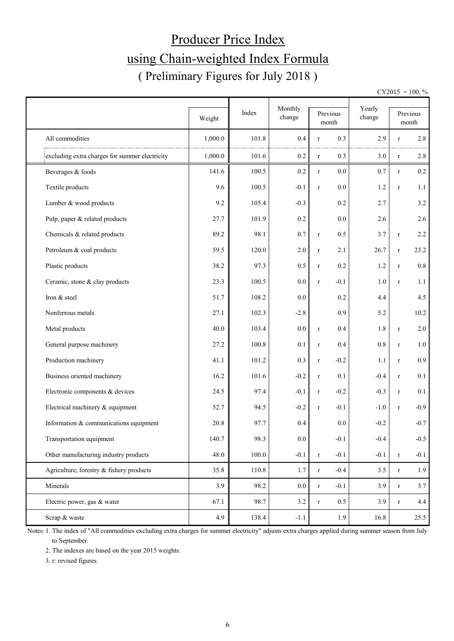# Producer Price Index using Chain-weighted Index Formula ( Preliminary Figures for July 2018 )

 $CY2015 = 100, \%$ 

|                                                | Weight  | Index | Monthly<br>change |             | Previous<br>$\mbox{month}$ | Yearly<br>change |              | Previous<br>month |
|------------------------------------------------|---------|-------|-------------------|-------------|----------------------------|------------------|--------------|-------------------|
| All commodities                                | 1,000.0 | 101.8 | 0.4               | $\mathbf r$ | 0.3                        | 2.9              | $\mathbf r$  | 2.8               |
| excluding extra charges for summer electricity | 1,000.0 | 101.6 | 0.2               | $\mathbf r$ | 0.3                        | 3.0              | $\mathbf r$  | 2.8               |
| Beverages & foods                              | 141.6   | 100.5 | 0.2               | $\mathbf r$ | 0.0                        | 0.7              | $\mathbf r$  | 0.2               |
| Textile products                               | 9.6     | 100.5 | $-0.1$            | $\mathbf r$ | 0.0                        | 1.2              | $\mathbf r$  | 1.1               |
| Lumber & wood products                         | 9.2     | 105.4 | $-0.3$            |             | 0.2                        | 2.7              |              | $3.2$             |
| Pulp, paper & related products                 | 27.7    | 101.9 | 0.2               |             | 0.0                        | 2.6              |              | 2.6               |
| Chemicals & related products                   | 89.2    | 98.1  | 0.7               | $\mathbf r$ | 0.5                        | 3.7              | $\mathbf r$  | 2.2               |
| Petroleum & coal products                      | 59.5    | 120.0 | 2.0               | $\mathbf r$ | 2.1                        | 26.7             | $\mathbf r$  | 23.2              |
| Plastic products                               | 38.2    | 97.3  | 0.5               | $\mathbf r$ | 0.2                        | 1.2              | $\mathbf r$  | $0.8\,$           |
| Ceramic, stone & clay products                 | 23.3    | 100.5 | 0.0               | $\mathbf r$ | $-0.1$                     | 1.0              | $\mathbf{r}$ | 1.1               |
| Iron & steel                                   | 51.7    | 108.2 | 0.0               |             | 0.2                        | 4.4              |              | 4.5               |
| Nonferrous metals                              | 27.1    | 102.3 | $-2.8$            |             | 0.9                        | 5.2              |              | 10.2              |
| Metal products                                 | 40.0    | 103.4 | 0.0               | $\mathbf r$ | 0.4                        | 1.8              | $\mathbf r$  | 2.0               |
| General purpose machinery                      | 27.2    | 100.8 | 0.1               | $\mathbf r$ | 0.4                        | 0.8              | $\mathbf r$  | $1.0\,$           |
| Production machinery                           | 41.1    | 101.2 | 0.3               | $\mathbf r$ | $-0.2$                     | 1.1              | $\mathbf r$  | 0.9               |
| Business oriented machinery                    | 16.2    | 101.6 | $-0.2$            | $\mathbf r$ | 0.1                        | $-0.4$           | $\mathbf r$  | 0.1               |
| Electronic components & devices                | 24.5    | 97.4  | $-0.1$            | $\mathbf r$ | $-0.2$                     | $-0.3$           | $\mathbf r$  | 0.1               |
| Electrical machinery & equipment               | 52.7    | 94.5  | $-0.2$            | $\mathbf r$ | $-0.1$                     | $-1.0$           | $\mathbf r$  | $-0.9$            |
| Information & communications equipment         | 20.8    | 97.7  | 0.4               |             | 0.0                        | $-0.2$           |              | $-0.7$            |
| Transportation equipment                       | 140.7   | 98.3  | 0.0               |             | $-0.1$                     | $-0.4$           |              | $-0.5$            |
| Other manufacturing industry products          | 48.0    | 100.0 | $-0.1$            | $\mathbf r$ | $-0.1$                     | $-0.1$           | $\mathbf r$  | $-0.1$            |
| Agriculture, forestry & fishery products       | 35.8    | 110.8 | 1.7               | $\mathbf r$ | $-0.4$                     | 3.5              | $\mathbf r$  | 1.9               |
| Minerals                                       | 3.9     | 98.2  | 0.0               | $\mathbf r$ | $-0.1$                     | 3.9              | $\mathbf r$  | 3.7               |
| Electric power, gas & water                    | 67.1    | 98.7  | 3.2               | $\mathbf r$ | 0.5                        | 3.9              | $\mathbf r$  | 4.4               |
| Scrap & waste                                  | 4.9     | 138.4 | $-1.1$            |             | 1.9                        | 16.8             |              | 25.5              |

Notes: 1. The index of "All commodities excluding extra charges for summer electricity" adjusts extra charges applied during summer season from July to September.

2. The indexes are based on the year 2015 weights.

3. r: revised figures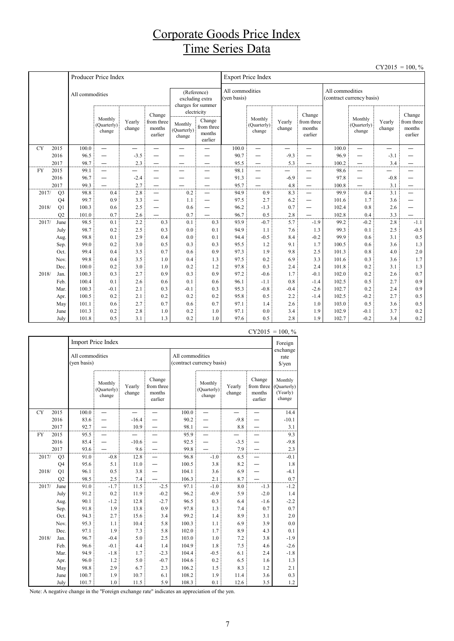## Corporate Goods Price Index Time Series Data

 $CY2015 = 100$  %

|           |                |                 |                                  |                  |                                           |                                  |                                                                                                           |       |                                  |                  |                                           |       |                                  | - 1201 J                 | 100, 70                                   |  |
|-----------|----------------|-----------------|----------------------------------|------------------|-------------------------------------------|----------------------------------|-----------------------------------------------------------------------------------------------------------|-------|----------------------------------|------------------|-------------------------------------------|-------|----------------------------------|--------------------------|-------------------------------------------|--|
|           |                |                 | Producer Price Index             |                  |                                           |                                  |                                                                                                           |       | <b>Export Price Index</b>        |                  |                                           |       |                                  |                          |                                           |  |
|           |                | All commodities |                                  |                  |                                           |                                  | All commodities<br>All commodities<br>(Reference)<br>(ven basis)<br>excluding extra<br>charges for summer |       |                                  |                  |                                           |       | (contract currency basis)        |                          |                                           |  |
|           |                |                 | Monthly<br>(Quarterly)<br>change | Yearly<br>change | Change<br>from three<br>months<br>earlier | Monthly<br>(Quarterly)<br>change | electricity<br>Change<br>from three<br>months<br>earlier                                                  |       | Monthly<br>(Quarterly)<br>change | Yearly<br>change | Change<br>from three<br>months<br>earlier |       | Monthly<br>(Quarterly)<br>change | Yearly<br>change         | Change<br>from three<br>months<br>earlier |  |
| <b>CY</b> | 2015           | 100.0           | $\equiv$                         |                  |                                           |                                  |                                                                                                           | 100.0 | —                                | —                | —                                         | 100.0 | $\overline{\phantom{0}}$         | $\overline{\phantom{a}}$ |                                           |  |
|           | 2016           | 96.5            | $\overline{\phantom{0}}$         | $-3.5$           |                                           |                                  |                                                                                                           | 90.7  |                                  | $-9.3$           |                                           | 96.9  | $\overline{\phantom{0}}$         | $-3.1$                   |                                           |  |
|           | 2017           | 98.7            |                                  | 2.3              |                                           |                                  |                                                                                                           | 95.5  |                                  | 5.3              |                                           | 100.2 |                                  | 3.4                      |                                           |  |
| <b>FY</b> | 2015           | 99.1            | $\overline{\phantom{0}}$         |                  |                                           | —                                |                                                                                                           | 98.1  | $\overline{\phantom{0}}$         | -                | -                                         | 98.6  | —                                |                          |                                           |  |
|           | 2016           | 96.7            | —                                | $-2.4$           |                                           |                                  |                                                                                                           | 91.3  |                                  | $-6.9$           |                                           | 97.8  | —                                | $-0.8$                   |                                           |  |
|           | 2017           | 99.3            |                                  | 2.7              | —                                         |                                  |                                                                                                           | 95.7  |                                  | 4.8              | —                                         | 100.8 |                                  | 3.1                      |                                           |  |
| 2017/     | Q <sub>3</sub> | 98.8            | 0.4                              | 2.8              | —                                         | 0.2                              | $\overline{\phantom{m}}$                                                                                  | 94.9  | 0.9                              | 8.3              | —                                         | 99.9  | 0.4                              | 3.1                      |                                           |  |
|           | Q4             | 99.7            | 0.9                              | 3.3              | —                                         | 1.1                              |                                                                                                           | 97.5  | 2.7                              | 6.2              | -                                         | 101.6 | 1.7                              | 3.6                      |                                           |  |
| 2018/     | Q1             | 100.3           | 0.6                              | 2.5              | —                                         | 0.6                              | —                                                                                                         | 96.2  | $-1.3$                           | 0.7              | —                                         | 102.4 | 0.8                              | 2.6                      |                                           |  |
|           | O <sub>2</sub> | 101.0           | 0.7                              | 2.6              |                                           | 0.7                              |                                                                                                           | 96.7  | 0.5                              | 2.8              |                                           | 102.8 | 0.4                              | 3.3                      |                                           |  |
| 2017/     | June           | 98.5            | 0.1                              | 2.2              | 0.3                                       | 0.1                              | 0.3                                                                                                       | 93.9  | $-0.7$                           | 5.7              | $-1.9$                                    | 99.2  | $-0.2$                           | 2.8                      | $-1.1$                                    |  |
|           | July           | 98.7            | 0.2                              | 2.5              | 0.3                                       | 0.0                              | 0.1                                                                                                       | 94.9  | 1.1                              | 7.6              | 1.3                                       | 99.3  | 0.1                              | 2.5                      | $-0.5$                                    |  |
|           | Aug.           | 98.8            | 0.1                              | 2.9              | 0.4                                       | 0.0                              | 0.1                                                                                                       | 94.4  | $-0.5$                           | 8.4              | $-0.2$                                    | 99.9  | 0.6                              | 3.1                      | 0.5                                       |  |
|           | Sep.           | 99.0            | 0.2                              | 3.0              | 0.5                                       | 0.3                              | 0.3                                                                                                       | 95.5  | 1.2                              | 9.1              | 1.7                                       | 100.5 | 0.6                              | 3.6                      | 1.3                                       |  |
|           | Oct.           | 99.4            | 0.4                              | 3.5              | 0.7                                       | 0.6                              | 0.9                                                                                                       | 97.3  | 1.9                              | 9.8              | 2.5                                       | 101.3 | 0.8                              | 4.0                      | 2.0                                       |  |
|           | Nov.           | 99.8            | 0.4                              | 3.5              | 1.0                                       | 0.4                              | 1.3                                                                                                       | 97.5  | 0.2                              | 6.9              | 3.3                                       | 101.6 | 0.3                              | 3.6                      | 1.7                                       |  |
|           | Dec.           | 100.0           | 0.2                              | 3.0              | 1.0                                       | 0.2                              | 1.2                                                                                                       | 97.8  | 0.3                              | 2.4              | 2.4                                       | 101.8 | 0.2                              | 3.1                      | 1.3                                       |  |
| 2018/     | Jan.           | 100.3           | 0.3                              | 2.7              | 0.9                                       | 0.3                              | 0.9                                                                                                       | 97.2  | $-0.6$                           | 1.7              | $-0.1$                                    | 102.0 | 0.2                              | 2.6                      | 0.7                                       |  |
|           | Feb.           | 100.4           | 0.1                              | 2.6              | 0.6                                       | 0.1                              | 0.6                                                                                                       | 96.1  | $-1.1$                           | 0.8              | $-1.4$                                    | 102.5 | 0.5                              | 2.7                      | 0.9                                       |  |
|           | Mar.           | 100.3           | $-0.1$                           | 2.1              | 0.3                                       | $-0.1$                           | 0.3                                                                                                       | 95.3  | $-0.8$                           | $-0.4$           | $-2.6$                                    | 102.7 | 0.2                              | 2.4                      | 0.9                                       |  |
|           | Apr.           | 100.5           | 0.2                              | 2.1              | 0.2                                       | 0.2                              | 0.2                                                                                                       | 95.8  | 0.5                              | 2.2              | $-1.4$                                    | 102.5 | $-0.2$                           | 2.7                      | 0.5                                       |  |
|           | May            | 101.1           | 0.6                              | 2.7              | 0.7                                       | 0.6                              | 0.7                                                                                                       | 97.1  | 1.4                              | 2.6              | 1.0                                       | 103.0 | 0.5                              | 3.6                      | 0.5                                       |  |
|           | June           | 101.3           | 0.2                              | 2.8              | 1.0                                       | 0.2                              | 1.0                                                                                                       | 97.1  | 0.0                              | 3.4              | 1.9                                       | 102.9 | $-0.1$                           | 3.7                      | 0.2                                       |  |
|           | July           | 101.8           | 0.5                              | 3.1              | 1.3                                       | 0.2                              | 1.0                                                                                                       | 97.6  | 0.5                              | 2.8              | 1.9                                       | 102.7 | $-0.2$                           | 3.4                      | 0.2                                       |  |

|           |                |                                |                                  |                  |                                           |                 |                                  |                  | C12013                                    | $-100, 70$                                   |
|-----------|----------------|--------------------------------|----------------------------------|------------------|-------------------------------------------|-----------------|----------------------------------|------------------|-------------------------------------------|----------------------------------------------|
|           |                |                                | Import Price Index               |                  |                                           |                 |                                  |                  |                                           | Foreign                                      |
|           |                | All commodities<br>(yen basis) |                                  |                  |                                           | All commodities | (contract currency basis)        |                  |                                           | exchange<br>rate<br>$\sqrt{\frac{2}{\pi}}$   |
|           |                |                                | Monthly<br>(Quarterly)<br>change | Yearly<br>change | Change<br>from three<br>months<br>earlier |                 | Monthly<br>(Quarterly)<br>change | Yearly<br>change | Change<br>from three<br>months<br>earlier | Monthly<br>(Quarterly)<br>(Yearly)<br>change |
| <b>CY</b> | 2015           | 100.0                          |                                  |                  |                                           | 100.0           |                                  |                  |                                           | 14.4                                         |
|           | 2016           | 83.6                           |                                  | $-16.4$          |                                           | 90.2            |                                  | $-9.8$           |                                           | $-10.1$                                      |
|           | 2017           | 92.7                           |                                  | 10.9             |                                           | 98.1            |                                  | 8.8              |                                           | 3.1                                          |
| FY        | 2015           | 95.5                           |                                  |                  |                                           | 95.9            |                                  |                  |                                           | 9.3                                          |
|           | 2016           | 85.4                           |                                  | $-10.6$          |                                           | 92.5            |                                  | $-3.5$           |                                           | $-9.8$                                       |
|           | 2017           | 93.6                           |                                  | 9.6              |                                           | 99.8            |                                  | 7.9              |                                           | 2.3                                          |
| 2017/     | Q <sub>3</sub> | 91.0                           | $-0.8$                           | 12.8             |                                           | 96.8            | $-1.0$                           | 6.5              |                                           | $-0.1$                                       |
|           | Q4             | 95.6                           | 5.1                              | 11.0             |                                           | 100.5           | 3.8                              | 8.2              |                                           | 1.8                                          |
| 2018/     | Q1             | 96.1                           | 0.5                              | 3.8              |                                           | 104.1           | 3.6                              | 6.9              |                                           | $-4.1$                                       |
|           | O <sub>2</sub> | 98.5                           | 2.5                              | 7.4              |                                           | 106.3           | 2.1                              | 8.7              |                                           | 0.7                                          |
| 2017/     | June           | 91.0                           | $-1.7$                           | 11.5             | $-2.5$                                    | 97.1            | $-1.0$                           | 8.0              | $-1.3$                                    | $-1.2$                                       |
|           | July           | 91.2                           | 0.2                              | 11.9             | $-0.2$                                    | 96.2            | $-0.9$                           | 5.9              | $-2.0$                                    | 1.4                                          |
|           | Aug.           | 90.1                           | $-1.2$                           | 12.8             | $-2.7$                                    | 96.5            | 0.3                              | 6.4              | $-1.6$                                    | $-2.2$                                       |
|           | Sep.           | 91.8                           | 1.9                              | 13.8             | 0.9                                       | 97.8            | 1.3                              | 7.4              | 0.7                                       | 0.7                                          |
|           | Oct.           | 94.3                           | 2.7                              | 15.6             | 3.4                                       | 99.2            | 1.4                              | 8.9              | 3.1                                       | 2.0                                          |
|           | Nov.           | 95.3                           | 1.1                              | 10.4             | 5.8                                       | 100.3           | 1.1                              | 6.9              | 3.9                                       | $0.0\,$                                      |
|           | Dec.           | 97.1                           | 1.9                              | 7.3              | 5.8                                       | 102.0           | 1.7                              | 8.9              | 4.3                                       | 0.1                                          |
| 2018/     | Jan.           | 96.7                           | $-0.4$                           | 5.0              | 2.5                                       | 103.0           | 1.0                              | 7.2              | 3.8                                       | $-1.9$                                       |
|           | Feb.           | 96.6                           | $-0.1$                           | 4.4              | 1.4                                       | 104.9           | 1.8                              | 7.5              | 4.6                                       | $-2.6$                                       |
|           | Mar.           | 94.9                           | $-1.8$                           | 1.7              | $-2.3$                                    | 104.4           | $-0.5$                           | 6.1              | 2.4                                       | $-1.8$                                       |
|           | Apr.           | 96.0                           | 1.2                              | 5.0              | $-0.7$                                    | 104.6           | 0.2                              | 6.5              | 1.6                                       | 1.3                                          |
|           | May            | 98.8                           | 2.9                              | 6.7              | 2.3                                       | 106.2           | 1.5                              | 8.3              | 1.2                                       | 2.1                                          |
|           | June           | 100.7                          | 1.9                              | 10.7             | 6.1                                       | 108.2           | 1.9                              | 11.4             | 3.6                                       | 0.3                                          |
|           | July           | 101.7                          | 1.0                              | 11.5             | 5.9                                       | 108.3           | 0.1                              | 12.6             | 3.5                                       | 1.2                                          |

#### $CY2015 = 100 %$

Note: A negative change in the "Foreign exchange rate" indicates an appreciation of the yen.